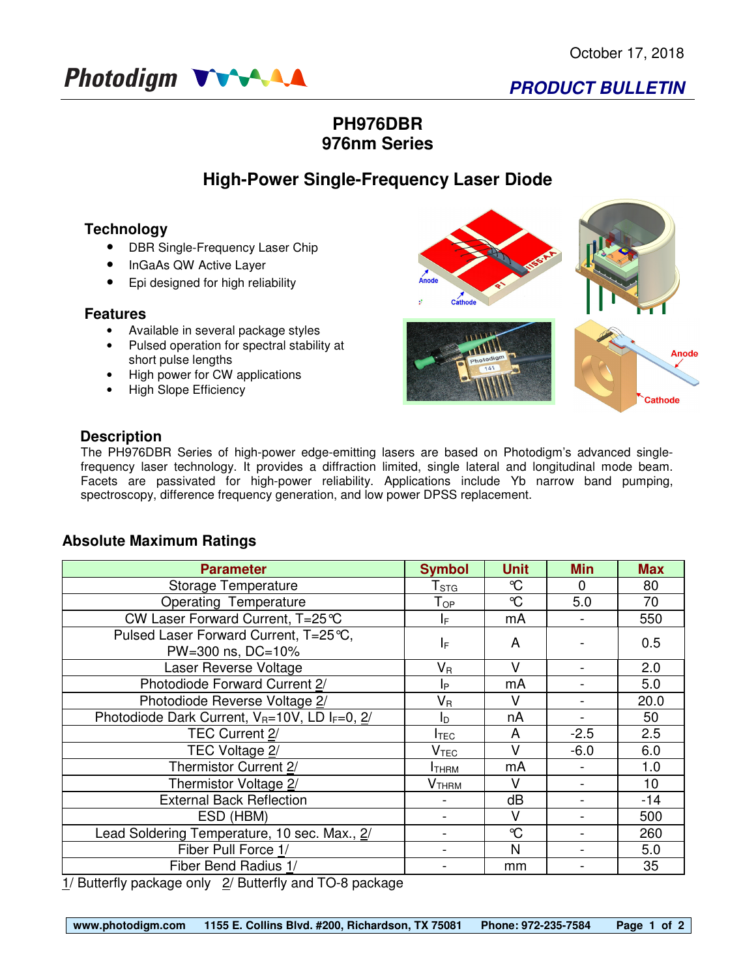

## **PH976DBR 976nm Series**

# **High-Power Single-Frequency Laser Diode**

### **Technology**

- DBR Single-Frequency Laser Chip
- InGaAs QW Active Layer
- Epi designed for high reliability

#### **Features**

- Available in several package styles
- Pulsed operation for spectral stability at short pulse lengths
- High power for CW applications
- High Slope Efficiency



### **Description**

The PH976DBR Series of high-power edge-emitting lasers are based on Photodigm's advanced singlefrequency laser technology. It provides a diffraction limited, single lateral and longitudinal mode beam. Facets are passivated for high-power reliability. Applications include Yb narrow band pumping, spectroscopy, difference frequency generation, and low power DPSS replacement.

### **Absolute Maximum Ratings**

| <b>Parameter</b>                                                                                                                                                                                                                  | <b>Symbol</b>               | <b>Unit</b>  | <b>Min</b> | <b>Max</b> |
|-----------------------------------------------------------------------------------------------------------------------------------------------------------------------------------------------------------------------------------|-----------------------------|--------------|------------|------------|
| Storage Temperature                                                                                                                                                                                                               | $\mathsf{T}_{\texttt{STG}}$ | $\mathrm{C}$ | 0          | 80         |
| <b>Operating Temperature</b>                                                                                                                                                                                                      | $\mathsf{T}_{\mathsf{OP}}$  | $\mathrm{C}$ | 5.0        | 70         |
| CW Laser Forward Current, T=25℃                                                                                                                                                                                                   | IF.                         | mA           |            | 550        |
| Pulsed Laser Forward Current, T=25 ℃,                                                                                                                                                                                             | I⊧                          | A            |            | 0.5        |
| PW=300 ns, DC=10%                                                                                                                                                                                                                 |                             |              |            |            |
| Laser Reverse Voltage                                                                                                                                                                                                             | $\mathsf{V}_\mathsf{R}$     | v            |            | 2.0        |
| Photodiode Forward Current 2/                                                                                                                                                                                                     | Iр                          | mA           |            | 5.0        |
| Photodiode Reverse Voltage 2/                                                                                                                                                                                                     | Vя                          | v            |            | 20.0       |
| Photodiode Dark Current, $V_R = 10V$ , LD I <sub>F</sub> =0, $2/$                                                                                                                                                                 | ΙD                          | nA           |            | 50         |
| TEC Current 2/                                                                                                                                                                                                                    | Ітес                        | A            | $-2.5$     | 2.5        |
| TEC Voltage 2/                                                                                                                                                                                                                    | $\mathsf{V}_{\mathsf{TEC}}$ | V            | $-6.0$     | 6.0        |
| Thermistor Current 2/                                                                                                                                                                                                             | Ітням                       | mA           |            | 1.0        |
| Thermistor Voltage 2/                                                                                                                                                                                                             | У <sub>тнвм</sub>           | v            |            | 10         |
| <b>External Back Reflection</b>                                                                                                                                                                                                   |                             | dB           |            | $-14$      |
| ESD (HBM)                                                                                                                                                                                                                         |                             | v            |            | 500        |
| Lead Soldering Temperature, 10 sec. Max., 2/                                                                                                                                                                                      |                             | $\mathrm{C}$ |            | 260        |
| Fiber Pull Force 1/                                                                                                                                                                                                               |                             | N            |            | 5.0        |
| Fiber Bend Radius 1/                                                                                                                                                                                                              |                             | mm           |            | 35         |
| 4. I Desire of the contract of the contract of the contract $\Box$ Original $\Box$ Original contract of the contract of the contract of the contract of the contract of the contract of the contract of the contract of the contr |                             |              |            |            |

1/ Butterfly package only 2/ Butterfly and TO-8 package